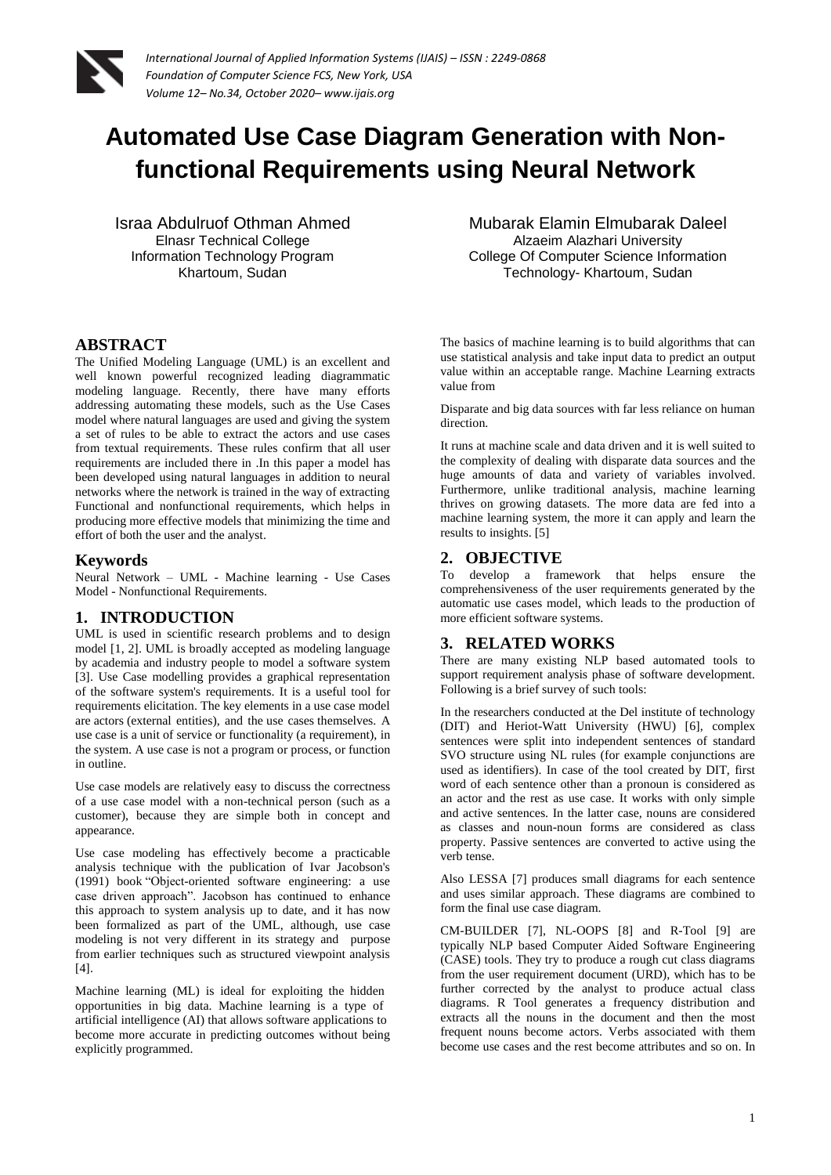

# **Automated Use Case Diagram Generation with Nonfunctional Requirements using Neural Network**

Israa Abdulruof Othman Ahmed Elnasr Technical College Information Technology Program Khartoum, Sudan

#### **ABSTRACT**

The Unified Modeling Language (UML) is an excellent and well known powerful recognized leading diagrammatic modeling language. Recently, there have many efforts addressing automating these models, such as the Use Cases model where natural languages are used and giving the system a set of rules to be able to extract the actors and use cases from textual requirements. These rules confirm that all user requirements are included there in .In this paper a model has been developed using natural languages in addition to neural networks where the network is trained in the way of extracting Functional and nonfunctional requirements, which helps in producing more effective models that minimizing the time and effort of both the user and the analyst.

#### **Keywords**

Neural Network – UML - Machine learning - Use Cases Model - Nonfunctional Requirements.

#### **1. INTRODUCTION**

UML is used in scientific research problems and to design model [1, 2]. UML is broadly accepted as modeling language by academia and industry people to model a software system [3]. Use Case modelling provides a graphical representation of the software system's requirements. It is a useful tool for requirements elicitation. The key elements in a use case model are actors (external entities), and the use cases themselves. A use case is a unit of service or functionality (a requirement), in the system. A use case is not a program or process, or function in outline.

Use case models are relatively easy to discuss the correctness of a use case model with a non-technical person (such as a customer), because they are simple both in concept and appearance.

Use case modeling has effectively become a practicable analysis technique with the publication of Ivar Jacobson's (1991) book "Object-oriented software engineering: a use case driven approach". Jacobson has continued to enhance this approach to system analysis up to date, and it has now been formalized as part of the UML, although, use case modeling is not very different in its strategy and purpose from earlier techniques such as structured viewpoint analysis [4].

Machine learning (ML) is ideal for exploiting the hidden opportunities in big data. Machine learning is a type of artificial intelligence (AI) that allows software applications to become more accurate in predicting outcomes without being explicitly programmed.

Mubarak Elamin Elmubarak Daleel Alzaeim Alazhari University College Of Computer Science Information Technology- Khartoum, Sudan

The basics of machine learning is to build algorithms that can use statistical analysis and take input data to predict an output value within an acceptable range. Machine Learning extracts value from

Disparate and big data sources with far less reliance on human direction.

It runs at machine scale and data driven and it is well suited to the complexity of dealing with disparate data sources and the huge amounts of data and variety of variables involved. Furthermore, unlike traditional analysis, machine learning thrives on growing datasets. The more data are fed into a machine learning system, the more it can apply and learn the results to insights. [5]

#### **2. OBJECTIVE**

To develop a framework that helps ensure the comprehensiveness of the user requirements generated by the automatic use cases model, which leads to the production of more efficient software systems.

#### **3. RELATED WORKS**

There are many existing NLP based automated tools to support requirement analysis phase of software development. Following is a brief survey of such tools:

In the researchers conducted at the Del institute of technology (DIT) and Heriot-Watt University (HWU) [6], complex sentences were split into independent sentences of standard SVO structure using NL rules (for example conjunctions are used as identifiers). In case of the tool created by DIT, first word of each sentence other than a pronoun is considered as an actor and the rest as use case. It works with only simple and active sentences. In the latter case, nouns are considered as classes and noun-noun forms are considered as class property. Passive sentences are converted to active using the verb tense.

Also LESSA [7] produces small diagrams for each sentence and uses similar approach. These diagrams are combined to form the final use case diagram.

CM-BUILDER [7], NL-OOPS [8] and R-Tool [9] are typically NLP based Computer Aided Software Engineering (CASE) tools. They try to produce a rough cut class diagrams from the user requirement document (URD), which has to be further corrected by the analyst to produce actual class diagrams. R Tool generates a frequency distribution and extracts all the nouns in the document and then the most frequent nouns become actors. Verbs associated with them become use cases and the rest become attributes and so on. In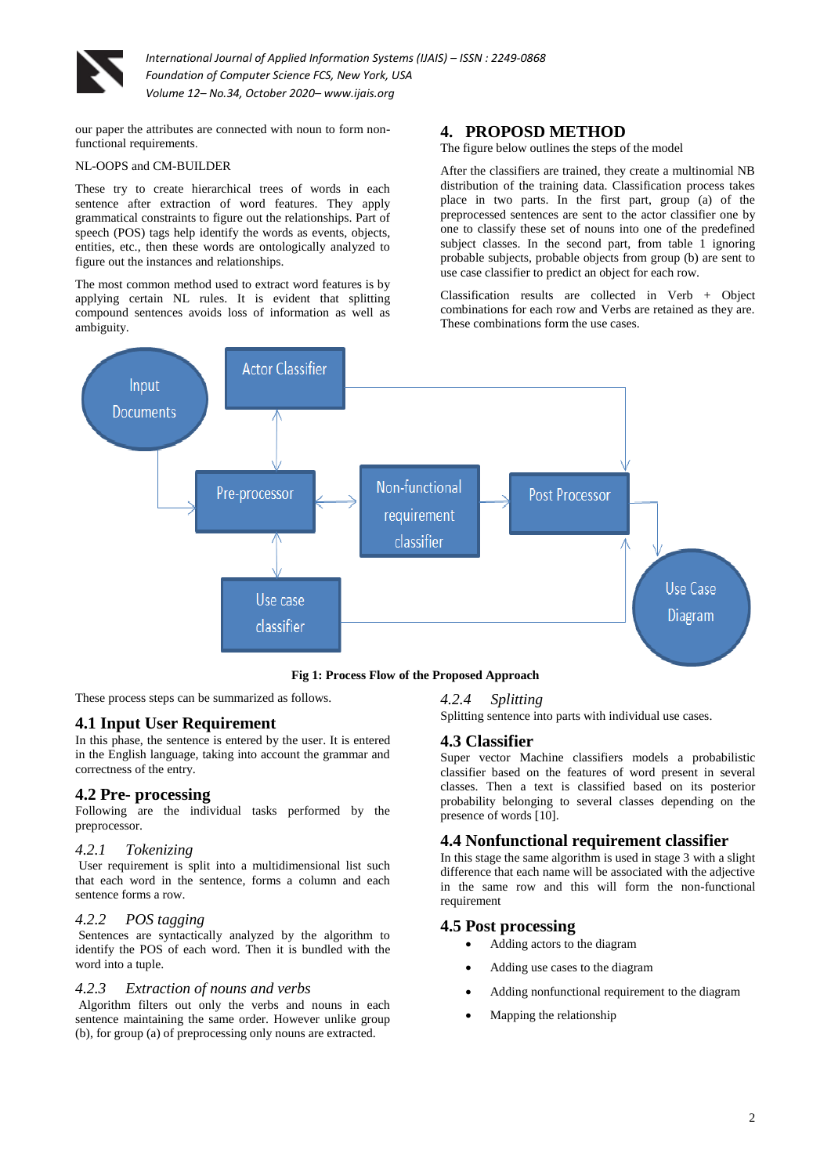

our paper the attributes are connected with noun to form nonfunctional requirements.

#### NL-OOPS and CM-BUILDER

These try to create hierarchical trees of words in each sentence after extraction of word features. They apply grammatical constraints to figure out the relationships. Part of speech (POS) tags help identify the words as events, objects, entities, etc., then these words are ontologically analyzed to figure out the instances and relationships.

The most common method used to extract word features is by applying certain NL rules. It is evident that splitting compound sentences avoids loss of information as well as ambiguity.

# **4. PROPOSD METHOD**

The figure below outlines the steps of the model

After the classifiers are trained, they create a multinomial NB distribution of the training data. Classification process takes place in two parts. In the first part, group (a) of the preprocessed sentences are sent to the actor classifier one by one to classify these set of nouns into one of the predefined subject classes. In the second part, from table 1 ignoring probable subjects, probable objects from group (b) are sent to use case classifier to predict an object for each row.

Classification results are collected in Verb + Object combinations for each row and Verbs are retained as they are. These combinations form the use cases.



**Fig 1: Process Flow of the Proposed Approach**

These process steps can be summarized as follows.

# **4.1 Input User Requirement**

In this phase, the sentence is entered by the user. It is entered in the English language, taking into account the grammar and correctness of the entry.

# **4.2 Pre- processing**

Following are the individual tasks performed by the preprocessor.

#### *4.2.1 Tokenizing*

User requirement is split into a multidimensional list such that each word in the sentence, forms a column and each sentence forms a row.

#### *4.2.2 POS tagging*

Sentences are syntactically analyzed by the algorithm to identify the POS of each word. Then it is bundled with the word into a tuple.

#### *4.2.3 Extraction of nouns and verbs*

Algorithm filters out only the verbs and nouns in each sentence maintaining the same order. However unlike group (b), for group (a) of preprocessing only nouns are extracted.

#### *4.2.4 Splitting*

Splitting sentence into parts with individual use cases.

# **4.3 Classifier**

Super vector Machine classifiers models a probabilistic classifier based on the features of word present in several classes. Then a text is classified based on its posterior probability belonging to several classes depending on the presence of words  $\overline{10}$ .

# **4.4 Nonfunctional requirement classifier**

In this stage the same algorithm is used in stage 3 with a slight difference that each name will be associated with the adjective in the same row and this will form the non-functional requirement

#### **4.5 Post processing**

- Adding actors to the diagram
- Adding use cases to the diagram
- Adding nonfunctional requirement to the diagram
- Mapping the relationship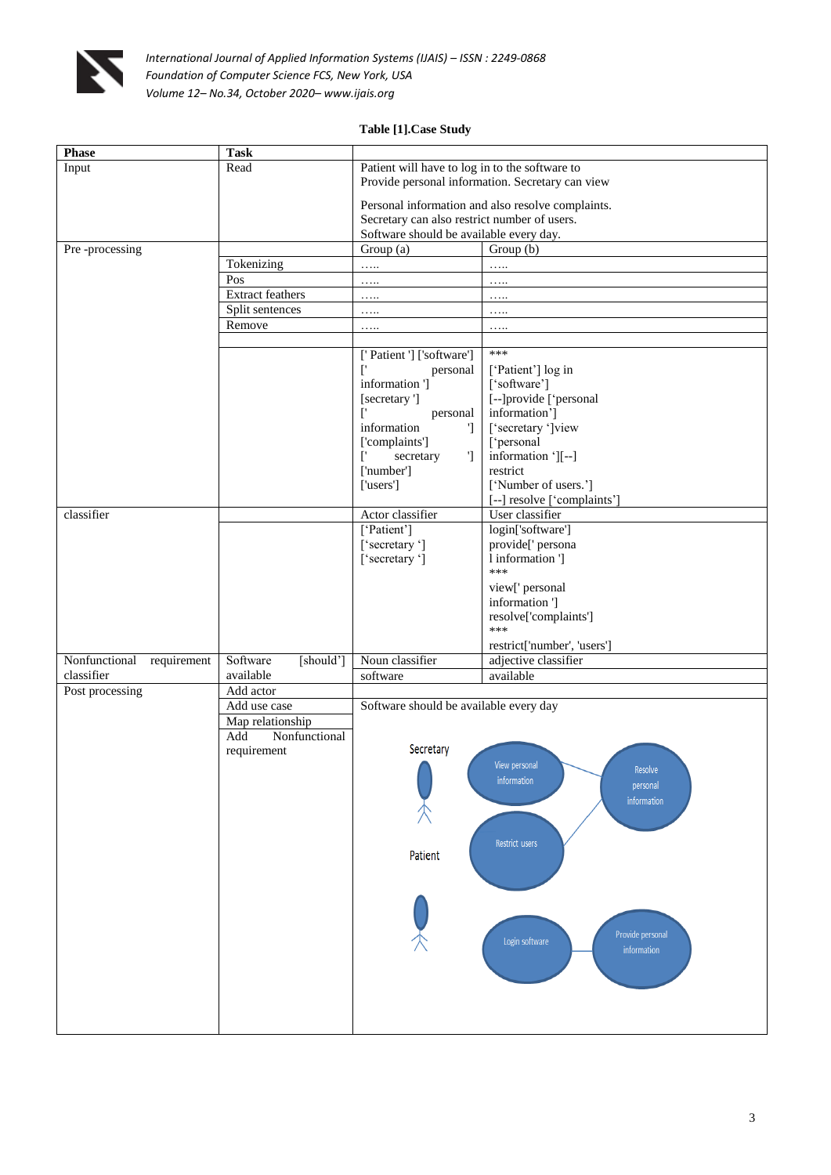

# **Table [1].Case Study**

| <b>Phase</b>                 | <b>Task</b>               |                                                  |                                                   |  |
|------------------------------|---------------------------|--------------------------------------------------|---------------------------------------------------|--|
| Input                        | Read                      | Patient will have to log in to the software to   |                                                   |  |
|                              |                           | Provide personal information. Secretary can view |                                                   |  |
|                              |                           |                                                  | Personal information and also resolve complaints. |  |
|                              |                           | Secretary can also restrict number of users.     |                                                   |  |
|                              |                           | Software should be available every day.          |                                                   |  |
| Pre-processing               |                           | Group (a)                                        | Group (b)                                         |  |
|                              | Tokenizing                | .                                                | .                                                 |  |
|                              | Pos                       | .                                                | .                                                 |  |
|                              | <b>Extract feathers</b>   | .                                                | .                                                 |  |
|                              | Split sentences<br>Remove | .                                                | .                                                 |  |
|                              |                           | .                                                | .                                                 |  |
|                              |                           | ['Patient '] ['software']                        | ***                                               |  |
|                              |                           | $\mathfrak{r}$<br>personal                       | ['Patient'] log in                                |  |
|                              |                           | information ']                                   | ['software']                                      |  |
|                              |                           | [secretary ']                                    | [--]provide ['personal                            |  |
|                              |                           | ['<br>personal                                   | information']                                     |  |
|                              |                           | information<br>$\mathcal{L}$                     | ['secretary ']view                                |  |
|                              |                           | ['complaints']                                   | ['personal                                        |  |
|                              |                           | secretary<br>$\mathbb{I}$<br>Ľ<br>['number']     | information '][--]<br>restrict                    |  |
|                              |                           | ['users']                                        | ['Number of users.']                              |  |
|                              |                           |                                                  | [--] resolve ['complaints']                       |  |
| classifier                   |                           | Actor classifier                                 | User classifier                                   |  |
|                              |                           | ['Patient']                                      | login['software']                                 |  |
|                              |                           | ['secretary']                                    | provide[' persona                                 |  |
|                              |                           | ['secretary']                                    | 1 information ']                                  |  |
|                              |                           |                                                  | ***                                               |  |
|                              |                           |                                                  | view[' personal<br>information ']                 |  |
|                              |                           |                                                  | resolve['complaints']                             |  |
|                              |                           |                                                  | ***                                               |  |
|                              |                           |                                                  | restrict['number', 'users']                       |  |
| Nonfunctional<br>requirement | Software<br>[should']     | Noun classifier                                  | adjective classifier                              |  |
| classifier                   | available                 | software                                         | available                                         |  |
| Post processing              | Add actor                 |                                                  |                                                   |  |
|                              | Add use case              | Software should be available every day           |                                                   |  |
|                              | Map relationship          |                                                  |                                                   |  |
|                              | Add<br>Nonfunctional      | Secretary                                        |                                                   |  |
|                              | requirement               |                                                  | View personal                                     |  |
|                              |                           |                                                  | Resolve<br>information                            |  |
|                              |                           |                                                  | personal                                          |  |
|                              |                           |                                                  | information                                       |  |
|                              |                           |                                                  |                                                   |  |
|                              |                           |                                                  | Restrict users                                    |  |
|                              |                           | Patient                                          |                                                   |  |
|                              |                           |                                                  |                                                   |  |
|                              |                           |                                                  |                                                   |  |
|                              |                           |                                                  |                                                   |  |
|                              |                           |                                                  |                                                   |  |
|                              |                           |                                                  | Provide personal<br>Login software                |  |
|                              |                           |                                                  | information                                       |  |
|                              |                           |                                                  |                                                   |  |
|                              |                           |                                                  |                                                   |  |
|                              |                           |                                                  |                                                   |  |
|                              |                           |                                                  |                                                   |  |
|                              |                           |                                                  |                                                   |  |